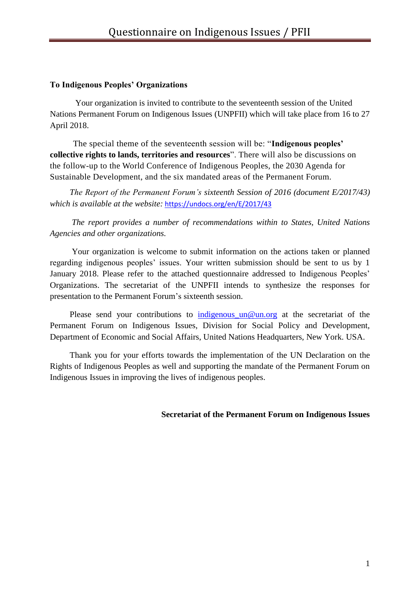### **To Indigenous Peoples' Organizations**

Your organization is invited to contribute to the seventeenth session of the United Nations Permanent Forum on Indigenous Issues (UNPFII) which will take place from 16 to 27 April 2018.

 The special theme of the seventeenth session will be: "**Indigenous peoples' collective rights to lands, territories and resources**". There will also be discussions on the follow-up to the World Conference of Indigenous Peoples, the 2030 Agenda for Sustainable Development, and the six mandated areas of the Permanent Forum.

*The Report of the Permanent Forum's sixteenth Session of 2016 (document E/2017/43) which is available at the website:* <https://undocs.org/en/E/2017/43>

*The report provides a number of recommendations within to States, United Nations Agencies and other organizations.*

Your organization is welcome to submit information on the actions taken or planned regarding indigenous peoples' issues. Your written submission should be sent to us by 1 January 2018. Please refer to the attached questionnaire addressed to Indigenous Peoples' Organizations. The secretariat of the UNPFII intends to synthesize the responses for presentation to the Permanent Forum's sixteenth session.

Please send your contributions to indigenous un@un.org at the secretariat of the Permanent Forum on Indigenous Issues, Division for Social Policy and Development, Department of Economic and Social Affairs, United Nations Headquarters, New York. USA.

Thank you for your efforts towards the implementation of the UN Declaration on the Rights of Indigenous Peoples as well and supporting the mandate of the Permanent Forum on Indigenous Issues in improving the lives of indigenous peoples.

**Secretariat of the Permanent Forum on Indigenous Issues**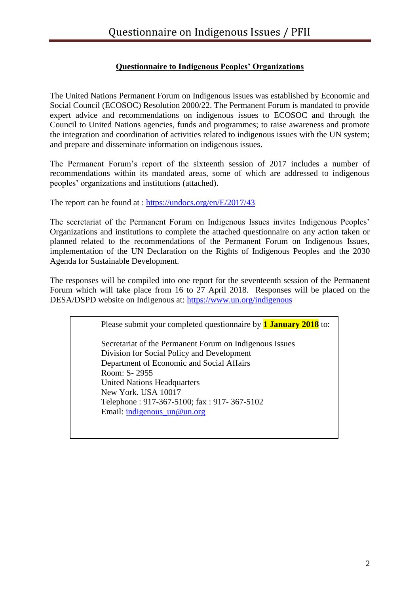# **Questionnaire to Indigenous Peoples' Organizations**

The United Nations Permanent Forum on Indigenous Issues was established by Economic and Social Council (ECOSOC) Resolution 2000/22. The Permanent Forum is mandated to provide expert advice and recommendations on indigenous issues to ECOSOC and through the Council to United Nations agencies, funds and programmes; to raise awareness and promote the integration and coordination of activities related to indigenous issues with the UN system; and prepare and disseminate information on indigenous issues.

The Permanent Forum's report of the sixteenth session of 2017 includes a number of recommendations within its mandated areas, some of which are addressed to indigenous peoples' organizations and institutions (attached).

The report can be found at :<https://undocs.org/en/E/2017/43>

The secretariat of the Permanent Forum on Indigenous Issues invites Indigenous Peoples' Organizations and institutions to complete the attached questionnaire on any action taken or planned related to the recommendations of the Permanent Forum on Indigenous Issues, implementation of the UN Declaration on the Rights of Indigenous Peoples and the 2030 Agenda for Sustainable Development.

The responses will be compiled into one report for the seventeenth session of the Permanent Forum which will take place from 16 to 27 April 2018. Responses will be placed on the DESA/DSPD website on Indigenous at:<https://www.un.org/indigenous>

> Please submit your completed questionnaire by **1 January 2018** to: Secretariat of the Permanent Forum on Indigenous Issues Division for Social Policy and Development Department of Economic and Social Affairs Room: S- 2955 United Nations Headquarters New York. USA 10017 Telephone : 917-367-5100; fax : 917- 367-5102 Email: [indigenous\\_un@un.org](mailto:indigenous_un@un.org)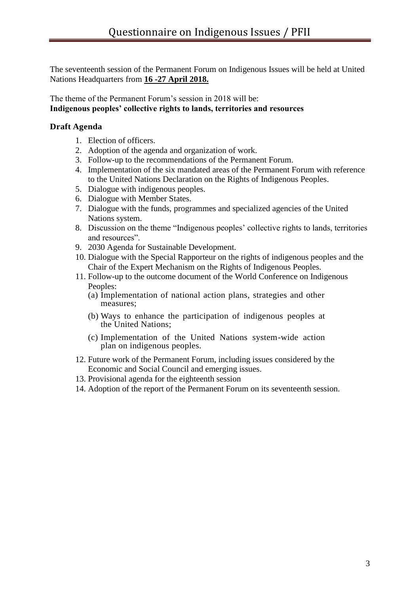The seventeenth session of the Permanent Forum on Indigenous Issues will be held at United Nations Headquarters from **16 -27 April 2018.**

The theme of the Permanent Forum's session in 2018 will be: **Indigenous peoples' collective rights to lands, territories and resources**

## **Draft Agenda**

- 1. Election of officers.
- 2. Adoption of the agenda and organization of work.
- 3. Follow-up to the recommendations of the Permanent Forum.
- 4. Implementation of the six mandated areas of the Permanent Forum with reference to the United Nations Declaration on the Rights of Indigenous Peoples.
- 5. Dialogue with indigenous peoples.
- 6. Dialogue with Member States.
- 7. Dialogue with the funds, programmes and specialized agencies of the United Nations system.
- 8. Discussion on the theme "Indigenous peoples' collective rights to lands, territories and resources".
- 9. 2030 Agenda for Sustainable Development.
- 10. Dialogue with the Special Rapporteur on the rights of indigenous peoples and the Chair of the Expert Mechanism on the Rights of Indigenous Peoples.
- 11. Follow-up to the outcome document of the World Conference on Indigenous Peoples:
	- (a) Implementation of national action plans, strategies and other measures;
	- (b) Ways to enhance the participation of indigenous peoples at the United Nations;
	- (c) Implementation of the United Nations system-wide action plan on indigenous peoples.
- 12. Future work of the Permanent Forum, including issues considered by the Economic and Social Council and emerging issues.
- 13. Provisional agenda for the eighteenth session
- 14. Adoption of the report of the Permanent Forum on its seventeenth session.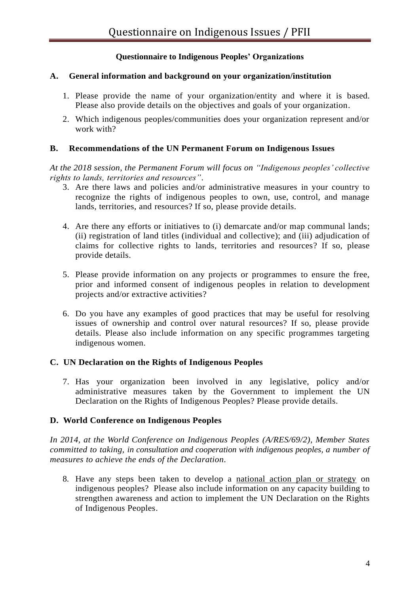# **Questionnaire to Indigenous Peoples' Organizations**

#### **A. General information and background on your organization/institution**

- 1. Please provide the name of your organization/entity and where it is based. Please also provide details on the objectives and goals of your organization.
- 2. Which indigenous peoples/communities does your organization represent and/or work with?

#### **B. Recommendations of the UN Permanent Forum on Indigenous Issues**

*At the 2018 session, the Permanent Forum will focus on "Indigenous peoples' collective rights to lands, territories and resources".* 

- 3. Are there laws and policies and/or administrative measures in your country to recognize the rights of indigenous peoples to own, use, control, and manage lands, territories, and resources? If so, please provide details.
- 4. Are there any efforts or initiatives to (i) demarcate and/or map communal lands; (ii) registration of land titles (individual and collective); and (iii) adjudication of claims for collective rights to lands, territories and resources? If so, please provide details.
- 5. Please provide information on any projects or programmes to ensure the free, prior and informed consent of indigenous peoples in relation to development projects and/or extractive activities?
- 6. Do you have any examples of good practices that may be useful for resolving issues of ownership and control over natural resources? If so, please provide details. Please also include information on any specific programmes targeting indigenous women.

#### **C. UN Declaration on the Rights of Indigenous Peoples**

7. Has your organization been involved in any legislative, policy and/or administrative measures taken by the Government to implement the UN Declaration on the Rights of Indigenous Peoples? Please provide details.

#### **D. World Conference on Indigenous Peoples**

*In 2014, at the World Conference on Indigenous Peoples (A/RES/69/2), Member States committed to taking, in consultation and cooperation with indigenous peoples, a number of measures to achieve the ends of the Declaration.*

8. Have any steps been taken to develop a national action plan or strategy on indigenous peoples? Please also include information on any capacity building to strengthen awareness and action to implement the UN Declaration on the Rights of Indigenous Peoples.